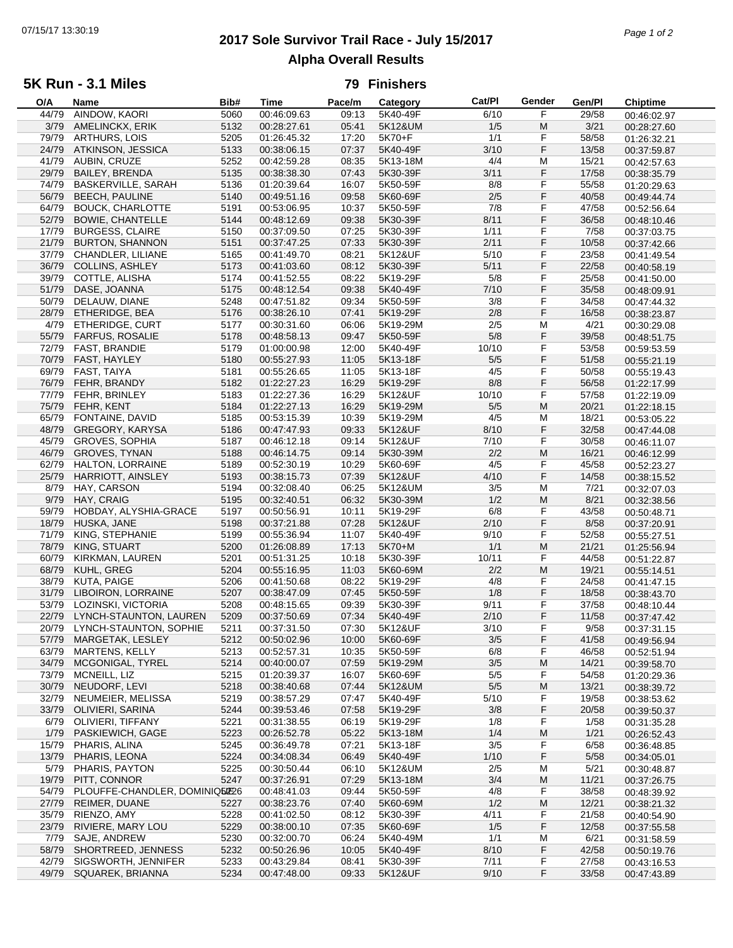# **2017 Sole Survivor Trail Race - July 15/2017** 07/15/17 13:30:19 *Page 1 of 2* **Alpha Overall Results**

### **5K Run - 3.1 Miles**

#### **79 Finishers**

| O/A   | Name                          | Bib# | <b>Time</b> | Pace/m | Category | Cat/PI | Gender | Gen/Pl | <b>Chiptime</b> |
|-------|-------------------------------|------|-------------|--------|----------|--------|--------|--------|-----------------|
| 44/79 | AINDOW, KAORI                 | 5060 | 00:46:09.63 | 09:13  | 5K40-49F | 6/10   | F      | 29/58  | 00:46:02.97     |
| 3/79  | AMELINCKX, ERIK               | 5132 | 00:28:27.61 | 05:41  | 5K12&UM  | 1/5    | M      | 3/21   | 00:28:27.60     |
| 79/79 | ARTHURS, LOIS                 | 5205 | 01:26:45.32 | 17:20  | 5K70+F   | 1/1    | F      | 58/58  | 01:26:32.21     |
| 24/79 | ATKINSON, JESSICA             | 5133 | 00:38:06.15 | 07:37  | 5K40-49F | 3/10   | F      | 13/58  | 00:37:59.87     |
| 41/79 | AUBIN, CRUZE                  | 5252 | 00:42:59.28 | 08:35  | 5K13-18M | 4/4    | M      | 15/21  | 00:42:57.63     |
| 29/79 | <b>BAILEY, BRENDA</b>         | 5135 | 00:38:38.30 | 07:43  | 5K30-39F | 3/11   | F      | 17/58  |                 |
|       |                               |      |             |        |          |        |        |        | 00:38:35.79     |
| 74/79 | <b>BASKERVILLE, SARAH</b>     | 5136 | 01:20:39.64 | 16:07  | 5K50-59F | 8/8    | F      | 55/58  | 01:20:29.63     |
| 56/79 | <b>BEECH, PAULINE</b>         | 5140 | 00:49:51.16 | 09:58  | 5K60-69F | 2/5    | F      | 40/58  | 00:49:44.74     |
| 64/79 | <b>BOUCK, CHARLOTTE</b>       | 5191 | 00:53:06.95 | 10:37  | 5K50-59F | 7/8    | F      | 47/58  | 00:52:56.64     |
| 52/79 | <b>BOWIE, CHANTELLE</b>       | 5144 | 00:48:12.69 | 09:38  | 5K30-39F | 8/11   | F      | 36/58  | 00:48:10.46     |
| 17/79 | <b>BURGESS, CLAIRE</b>        | 5150 | 00:37:09.50 | 07:25  | 5K30-39F | 1/11   | F      | 7/58   | 00:37:03.75     |
| 21/79 | <b>BURTON, SHANNON</b>        | 5151 | 00:37:47.25 | 07:33  | 5K30-39F | 2/11   | F      | 10/58  | 00:37:42.66     |
| 37/79 | CHANDLER, LILIANE             | 5165 | 00:41:49.70 | 08:21  | 5K12&UF  | 5/10   | F      | 23/58  |                 |
|       |                               |      |             |        |          |        |        |        | 00:41:49.54     |
| 36/79 | <b>COLLINS, ASHLEY</b>        | 5173 | 00:41:03.60 | 08:12  | 5K30-39F | 5/11   | F      | 22/58  | 00:40:58.19     |
| 39/79 | COTTLE, ALISHA                | 5174 | 00:41:52.55 | 08:22  | 5K19-29F | $5/8$  | F      | 25/58  | 00:41:50.00     |
| 51/79 | DASE, JOANNA                  | 5175 | 00:48:12.54 | 09:38  | 5K40-49F | 7/10   | F      | 35/58  | 00:48:09.91     |
| 50/79 | DELAUW, DIANE                 | 5248 | 00:47:51.82 | 09:34  | 5K50-59F | 3/8    | F      | 34/58  | 00:47:44.32     |
| 28/79 | ETHERIDGE, BEA                | 5176 | 00:38:26.10 | 07:41  | 5K19-29F | 2/8    | F      | 16/58  | 00:38:23.87     |
| 4/79  | ETHERIDGE, CURT               | 5177 | 00:30:31.60 | 06:06  | 5K19-29M | 2/5    | M      | 4/21   | 00:30:29.08     |
| 55/79 | FARFUS, ROSALIE               | 5178 | 00:48:58.13 | 09:47  | 5K50-59F | 5/8    | F      | 39/58  | 00:48:51.75     |
| 72/79 | <b>FAST, BRANDIE</b>          |      | 01:00:00.98 | 12:00  | 5K40-49F | 10/10  | F      | 53/58  |                 |
|       |                               | 5179 |             |        |          |        |        |        | 00:59:53.59     |
|       | 70/79 FAST, HAYLEY            | 5180 | 00:55:27.93 | 11:05  | 5K13-18F | 5/5    | F      | 51/58  | 00:55:21.19     |
| 69/79 | FAST, TAIYA                   | 5181 | 00:55:26.65 | 11:05  | 5K13-18F | 4/5    | F      | 50/58  | 00:55:19.43     |
| 76/79 | FEHR, BRANDY                  | 5182 | 01:22:27.23 | 16:29  | 5K19-29F | 8/8    | F      | 56/58  | 01:22:17.99     |
| 77/79 | FEHR, BRINLEY                 | 5183 | 01:22:27.36 | 16:29  | 5K12&UF  | 10/10  | F      | 57/58  | 01:22:19.09     |
| 75/79 | FEHR, KENT                    | 5184 | 01:22:27.13 | 16:29  | 5K19-29M | 5/5    | M      | 20/21  | 01:22:18.15     |
| 65/79 | FONTAINE, DAVID               | 5185 | 00:53:15.39 | 10:39  | 5K19-29M | 4/5    | M      | 18/21  | 00:53:05.22     |
| 48/79 | <b>GREGORY, KARYSA</b>        | 5186 | 00:47:47.93 | 09:33  | 5K12&UF  | 8/10   | F      | 32/58  |                 |
|       |                               |      |             |        |          |        |        |        | 00:47:44.08     |
| 45/79 | <b>GROVES, SOPHIA</b>         | 5187 | 00:46:12.18 | 09:14  | 5K12&UF  | 7/10   | F      | 30/58  | 00:46:11.07     |
| 46/79 | <b>GROVES, TYNAN</b>          | 5188 | 00:46:14.75 | 09:14  | 5K30-39M | 2/2    | M      | 16/21  | 00:46:12.99     |
| 62/79 | HALTON, LORRAINE              | 5189 | 00:52:30.19 | 10:29  | 5K60-69F | 4/5    | F      | 45/58  | 00:52:23.27     |
| 25/79 | <b>HARRIOTT, AINSLEY</b>      | 5193 | 00:38:15.73 | 07:39  | 5K12&UF  | 4/10   | F      | 14/58  | 00:38:15.52     |
| 8/79  | HAY, CARSON                   | 5194 | 00:32:08.40 | 06:25  | 5K12&UM  | 3/5    | M      | 7/21   | 00:32:07.03     |
| 9/79  | HAY, CRAIG                    | 5195 | 00:32:40.51 | 06:32  | 5K30-39M | 1/2    | M      | 8/21   | 00:32:38.56     |
| 59/79 | HOBDAY, ALYSHIA-GRACE         | 5197 | 00:50:56.91 | 10:11  | 5K19-29F | 6/8    | F      | 43/58  | 00:50:48.71     |
|       |                               |      |             |        |          | 2/10   | F      |        |                 |
| 18/79 | HUSKA, JANE                   | 5198 | 00:37:21.88 | 07:28  | 5K12&UF  |        |        | 8/58   | 00:37:20.91     |
| 71/79 | KING, STEPHANIE               | 5199 | 00:55:36.94 | 11:07  | 5K40-49F | 9/10   | F      | 52/58  | 00:55:27.51     |
| 78/79 | KING, STUART                  | 5200 | 01:26:08.89 | 17:13  | 5K70+M   | 1/1    | M      | 21/21  | 01:25:56.94     |
| 60/79 | KIRKMAN, LAUREN               | 5201 | 00:51:31.25 | 10:18  | 5K30-39F | 10/11  | F      | 44/58  | 00:51:22.87     |
| 68/79 | KUHL, GREG                    | 5204 | 00:55:16.95 | 11:03  | 5K60-69M | 2/2    | M      | 19/21  | 00:55:14.51     |
| 38/79 | KUTA, PAIGE                   | 5206 | 00:41:50.68 | 08:22  | 5K19-29F | 4/8    | F      | 24/58  | 00:41:47.15     |
| 31/79 | LIBOIRON, LORRAINE            | 5207 | 00:38:47.09 | 07:45  | 5K50-59F | 1/8    | F      | 18/58  | 00:38:43.70     |
| 53/79 | LOZINSKI, VICTORIA            | 5208 | 00:48:15.65 | 09:39  | 5K30-39F | 9/11   | F      | 37/58  | 00:48:10.44     |
|       | LYNCH-STAUNTON, LAUREN        |      |             |        |          |        | F      |        |                 |
| 22/79 |                               | 5209 | 00:37:50.69 | 07:34  | 5K40-49F | 2/10   |        | 11/58  | 00:37:47.42     |
| 20/79 | LYNCH-STAUNTON, SOPHIE        | 5211 | 00:37:31.50 | 07:30  | 5K12&UF  | 3/10   | F      | 9/58   | 00:37:31.15     |
| 57/79 | MARGETAK, LESLEY              | 5212 | 00:50:02.96 | 10:00  | 5K60-69F | 3/5    | F      | 41/58  | 00:49:56.94     |
| 63/79 | <b>MARTENS, KELLY</b>         | 5213 | 00:52:57.31 | 10:35  | 5K50-59F | 6/8    | F      | 46/58  | 00:52:51.94     |
| 34/79 | MCGONIGAL, TYREL              | 5214 | 00:40:00.07 | 07:59  | 5K19-29M | 3/5    | M      | 14/21  | 00:39:58.70     |
| 73/79 | MCNEILL, LIZ                  | 5215 | 01:20:39.37 | 16:07  | 5K60-69F | 5/5    | F      | 54/58  | 01:20:29.36     |
| 30/79 | NEUDORF, LEVI                 | 5218 | 00:38:40.68 | 07:44  | 5K12&UM  | 5/5    | M      | 13/21  | 00:38:39.72     |
| 32/79 | NEUMEIER, MELISSA             | 5219 | 00:38:57.29 | 07:47  | 5K40-49F | 5/10   | F      | 19/58  |                 |
|       |                               |      |             |        | 5K19-29F |        |        |        | 00:38:53.62     |
| 33/79 | OLIVIERI, SARINA              | 5244 | 00:39:53.46 | 07:58  |          | 3/8    | F      | 20/58  | 00:39:50.37     |
| 6/79  | OLIVIERI, TIFFANY             | 5221 | 00:31:38.55 | 06:19  | 5K19-29F | 1/8    | F      | 1/58   | 00:31:35.28     |
| 1/79  | PASKIEWICH, GAGE              | 5223 | 00:26:52.78 | 05:22  | 5K13-18M | 1/4    | M      | 1/21   | 00:26:52.43     |
| 15/79 | PHARIS, ALINA                 | 5245 | 00:36:49.78 | 07:21  | 5K13-18F | 3/5    | F      | 6/58   | 00:36:48.85     |
| 13/79 | PHARIS, LEONA                 | 5224 | 00:34:08.34 | 06:49  | 5K40-49F | 1/10   | F      | 5/58   | 00:34:05.01     |
| 5/79  | PHARIS, PAYTON                | 5225 | 00:30:50.44 | 06:10  | 5K12&UM  | 2/5    | M      | 5/21   | 00:30:48.87     |
| 19/79 | PITT, CONNOR                  | 5247 | 00:37:26.91 | 07:29  | 5K13-18M | 3/4    | M      | 11/21  | 00:37:26.75     |
| 54/79 | PLOUFFE-CHANDLER, DOMINIQ5026 |      | 00:48:41.03 | 09:44  | 5K50-59F | 4/8    | F      | 38/58  |                 |
|       |                               |      |             |        |          |        |        |        | 00:48:39.92     |
| 27/79 | REIMER, DUANE                 | 5227 | 00:38:23.76 | 07:40  | 5K60-69M | 1/2    | M      | 12/21  | 00:38:21.32     |
| 35/79 | RIENZO, AMY                   | 5228 | 00:41:02.50 | 08:12  | 5K30-39F | 4/11   | F      | 21/58  | 00:40:54.90     |
| 23/79 | RIVIERE, MARY LOU             | 5229 | 00:38:00.10 | 07:35  | 5K60-69F | 1/5    | F      | 12/58  | 00:37:55.58     |
| 7/79  | SAJE, ANDREW                  | 5230 | 00:32:00.70 | 06:24  | 5K40-49M | 1/1    | M      | 6/21   | 00:31:58.59     |
| 58/79 | SHORTREED, JENNESS            | 5232 | 00:50:26.96 | 10:05  | 5K40-49F | 8/10   | F      | 42/58  | 00:50:19.76     |
| 42/79 | SIGSWORTH, JENNIFER           | 5233 | 00:43:29.84 | 08:41  | 5K30-39F | 7/11   | F      | 27/58  | 00:43:16.53     |
| 49/79 | SQUAREK, BRIANNA              | 5234 | 00:47:48.00 | 09:33  | 5K12&UF  | 9/10   | F      | 33/58  | 00:47:43.89     |
|       |                               |      |             |        |          |        |        |        |                 |